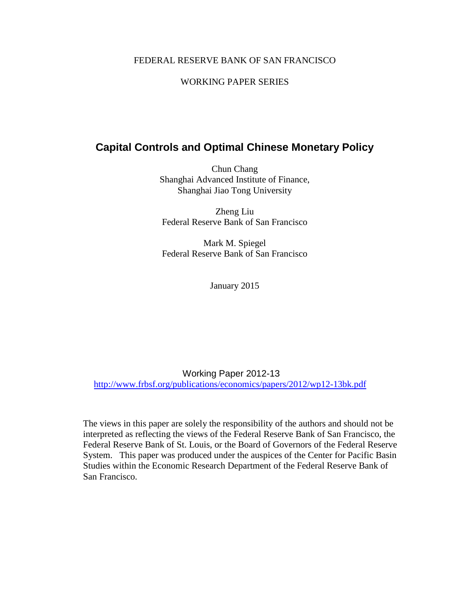# FEDERAL RESERVE BANK OF SAN FRANCISCO

## WORKING PAPER SERIES

# **Capital Controls and Optimal Chinese Monetary Policy**

Chun Chang Shanghai Advanced Institute of Finance, Shanghai Jiao Tong University

Zheng Liu Federal Reserve Bank of San Francisco

Mark M. Spiegel Federal Reserve Bank of San Francisco

January 2015

Working Paper 2012-13 <http://www.frbsf.org/publications/economics/papers/2012/wp12-13bk.pdf>

The views in this paper are solely the responsibility of the authors and should not be interpreted as reflecting the views of the Federal Reserve Bank of San Francisco, the Federal Reserve Bank of St. Louis, or the Board of Governors of the Federal Reserve System. This paper was produced under the auspices of the Center for Pacific Basin Studies within the Economic Research Department of the Federal Reserve Bank of San Francisco.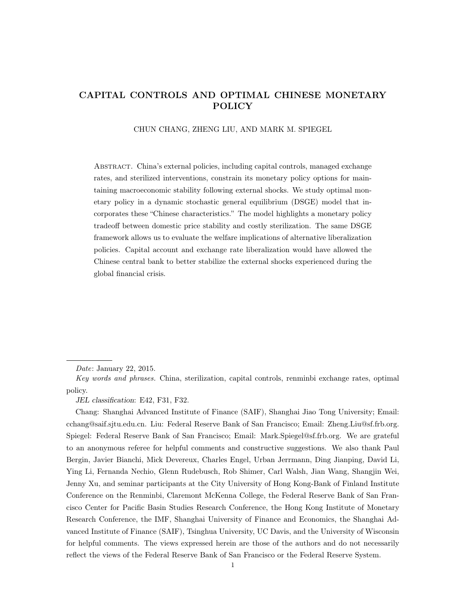# CAPITAL CONTROLS AND OPTIMAL CHINESE MONETARY POLICY

CHUN CHANG, ZHENG LIU, AND MARK M. SPIEGEL

Abstract. China's external policies, including capital controls, managed exchange rates, and sterilized interventions, constrain its monetary policy options for maintaining macroeconomic stability following external shocks. We study optimal monetary policy in a dynamic stochastic general equilibrium (DSGE) model that incorporates these "Chinese characteristics." The model highlights a monetary policy tradeoff between domestic price stability and costly sterilization. The same DSGE framework allows us to evaluate the welfare implications of alternative liberalization policies. Capital account and exchange rate liberalization would have allowed the Chinese central bank to better stabilize the external shocks experienced during the global financial crisis.

Chang: Shanghai Advanced Institute of Finance (SAIF), Shanghai Jiao Tong University; Email: cchang@saif.sjtu.edu.cn. Liu: Federal Reserve Bank of San Francisco; Email: Zheng.Liu@sf.frb.org. Spiegel: Federal Reserve Bank of San Francisco; Email: Mark.Spiegel@sf.frb.org. We are grateful to an anonymous referee for helpful comments and constructive suggestions. We also thank Paul Bergin, Javier Bianchi, Mick Devereux, Charles Engel, Urban Jerrmann, Ding Jianping, David Li, Ying Li, Fernanda Nechio, Glenn Rudebusch, Rob Shimer, Carl Walsh, Jian Wang, Shangjin Wei, Jenny Xu, and seminar participants at the City University of Hong Kong-Bank of Finland Institute Conference on the Renminbi, Claremont McKenna College, the Federal Reserve Bank of San Francisco Center for Pacific Basin Studies Research Conference, the Hong Kong Institute of Monetary Research Conference, the IMF, Shanghai University of Finance and Economics, the Shanghai Advanced Institute of Finance (SAIF), Tsinghua University, UC Davis, and the University of Wisconsin for helpful comments. The views expressed herein are those of the authors and do not necessarily reflect the views of the Federal Reserve Bank of San Francisco or the Federal Reserve System.

Date: January 22, 2015.

Key words and phrases. China, sterilization, capital controls, renminbi exchange rates, optimal policy.

JEL classification: E42, F31, F32.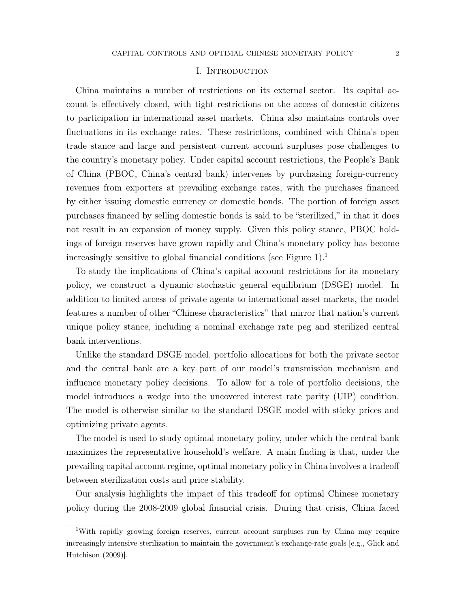#### I. Introduction

China maintains a number of restrictions on its external sector. Its capital account is effectively closed, with tight restrictions on the access of domestic citizens to participation in international asset markets. China also maintains controls over fluctuations in its exchange rates. These restrictions, combined with China's open trade stance and large and persistent current account surpluses pose challenges to the country's monetary policy. Under capital account restrictions, the People's Bank of China (PBOC, China's central bank) intervenes by purchasing foreign-currency revenues from exporters at prevailing exchange rates, with the purchases financed by either issuing domestic currency or domestic bonds. The portion of foreign asset purchases financed by selling domestic bonds is said to be "sterilized," in that it does not result in an expansion of money supply. Given this policy stance, PBOC holdings of foreign reserves have grown rapidly and China's monetary policy has become increasingly sensitive to global financial conditions (see Figure  $1$ ).<sup>1</sup>

To study the implications of China's capital account restrictions for its monetary policy, we construct a dynamic stochastic general equilibrium (DSGE) model. In addition to limited access of private agents to international asset markets, the model features a number of other "Chinese characteristics" that mirror that nation's current unique policy stance, including a nominal exchange rate peg and sterilized central bank interventions.

Unlike the standard DSGE model, portfolio allocations for both the private sector and the central bank are a key part of our model's transmission mechanism and influence monetary policy decisions. To allow for a role of portfolio decisions, the model introduces a wedge into the uncovered interest rate parity (UIP) condition. The model is otherwise similar to the standard DSGE model with sticky prices and optimizing private agents.

The model is used to study optimal monetary policy, under which the central bank maximizes the representative household's welfare. A main finding is that, under the prevailing capital account regime, optimal monetary policy in China involves a tradeoff between sterilization costs and price stability.

Our analysis highlights the impact of this tradeoff for optimal Chinese monetary policy during the 2008-2009 global financial crisis. During that crisis, China faced

<sup>1</sup>With rapidly growing foreign reserves, current account surpluses run by China may require increasingly intensive sterilization to maintain the government's exchange-rate goals [e.g., Glick and Hutchison (2009)].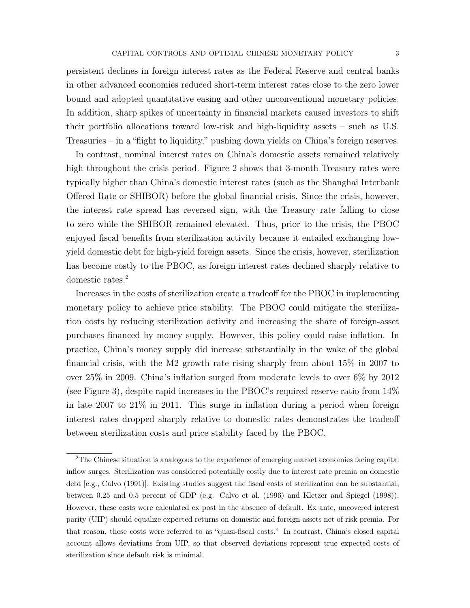persistent declines in foreign interest rates as the Federal Reserve and central banks in other advanced economies reduced short-term interest rates close to the zero lower bound and adopted quantitative easing and other unconventional monetary policies. In addition, sharp spikes of uncertainty in financial markets caused investors to shift their portfolio allocations toward low-risk and high-liquidity assets – such as U.S. Treasuries – in a "flight to liquidity," pushing down yields on China's foreign reserves.

In contrast, nominal interest rates on China's domestic assets remained relatively high throughout the crisis period. Figure 2 shows that 3-month Treasury rates were typically higher than China's domestic interest rates (such as the Shanghai Interbank Offered Rate or SHIBOR) before the global financial crisis. Since the crisis, however, the interest rate spread has reversed sign, with the Treasury rate falling to close to zero while the SHIBOR remained elevated. Thus, prior to the crisis, the PBOC enjoyed fiscal benefits from sterilization activity because it entailed exchanging lowyield domestic debt for high-yield foreign assets. Since the crisis, however, sterilization has become costly to the PBOC, as foreign interest rates declined sharply relative to domestic rates.<sup>2</sup>

Increases in the costs of sterilization create a tradeoff for the PBOC in implementing monetary policy to achieve price stability. The PBOC could mitigate the sterilization costs by reducing sterilization activity and increasing the share of foreign-asset purchases financed by money supply. However, this policy could raise inflation. In practice, China's money supply did increase substantially in the wake of the global financial crisis, with the M2 growth rate rising sharply from about 15% in 2007 to over 25% in 2009. China's inflation surged from moderate levels to over 6% by 2012 (see Figure 3), despite rapid increases in the PBOC's required reserve ratio from 14% in late 2007 to 21% in 2011. This surge in inflation during a period when foreign interest rates dropped sharply relative to domestic rates demonstrates the tradeoff between sterilization costs and price stability faced by the PBOC.

<sup>&</sup>lt;sup>2</sup>The Chinese situation is analogous to the experience of emerging market economies facing capital inflow surges. Sterilization was considered potentially costly due to interest rate premia on domestic debt [e.g., Calvo (1991)]. Existing studies suggest the fiscal costs of sterilization can be substantial, between 0.25 and 0.5 percent of GDP (e.g. Calvo et al. (1996) and Kletzer and Spiegel (1998)). However, these costs were calculated ex post in the absence of default. Ex ante, uncovered interest parity (UIP) should equalize expected returns on domestic and foreign assets net of risk premia. For that reason, these costs were referred to as "quasi-fiscal costs." In contrast, China's closed capital account allows deviations from UIP, so that observed deviations represent true expected costs of sterilization since default risk is minimal.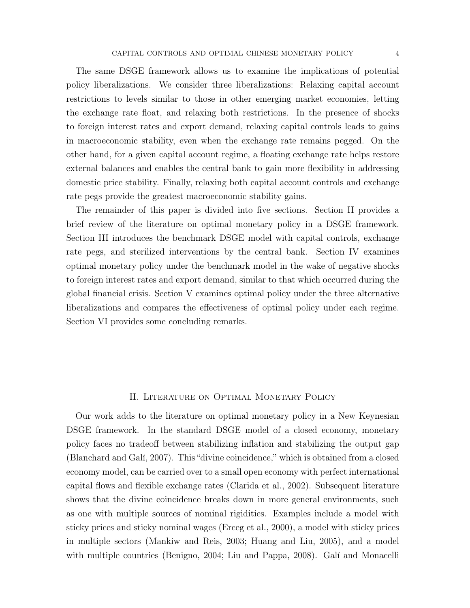The same DSGE framework allows us to examine the implications of potential policy liberalizations. We consider three liberalizations: Relaxing capital account restrictions to levels similar to those in other emerging market economies, letting the exchange rate float, and relaxing both restrictions. In the presence of shocks to foreign interest rates and export demand, relaxing capital controls leads to gains in macroeconomic stability, even when the exchange rate remains pegged. On the other hand, for a given capital account regime, a floating exchange rate helps restore external balances and enables the central bank to gain more flexibility in addressing domestic price stability. Finally, relaxing both capital account controls and exchange rate pegs provide the greatest macroeconomic stability gains.

The remainder of this paper is divided into five sections. Section II provides a brief review of the literature on optimal monetary policy in a DSGE framework. Section III introduces the benchmark DSGE model with capital controls, exchange rate pegs, and sterilized interventions by the central bank. Section IV examines optimal monetary policy under the benchmark model in the wake of negative shocks to foreign interest rates and export demand, similar to that which occurred during the global financial crisis. Section V examines optimal policy under the three alternative liberalizations and compares the effectiveness of optimal policy under each regime. Section VI provides some concluding remarks.

### II. Literature on Optimal Monetary Policy

Our work adds to the literature on optimal monetary policy in a New Keynesian DSGE framework. In the standard DSGE model of a closed economy, monetary policy faces no tradeoff between stabilizing inflation and stabilizing the output gap (Blanchard and Galí, 2007). This "divine coincidence," which is obtained from a closed economy model, can be carried over to a small open economy with perfect international capital flows and flexible exchange rates (Clarida et al., 2002). Subsequent literature shows that the divine coincidence breaks down in more general environments, such as one with multiple sources of nominal rigidities. Examples include a model with sticky prices and sticky nominal wages (Erceg et al., 2000), a model with sticky prices in multiple sectors (Mankiw and Reis, 2003; Huang and Liu, 2005), and a model with multiple countries (Benigno, 2004; Liu and Pappa, 2008). Galí and Monacelli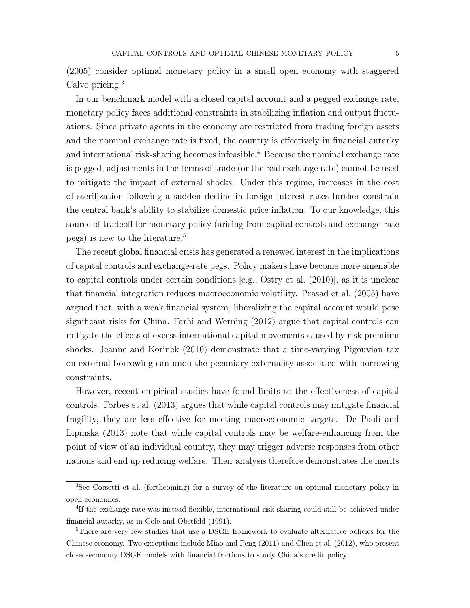(2005) consider optimal monetary policy in a small open economy with staggered Calvo pricing.<sup>3</sup>

In our benchmark model with a closed capital account and a pegged exchange rate, monetary policy faces additional constraints in stabilizing inflation and output fluctuations. Since private agents in the economy are restricted from trading foreign assets and the nominal exchange rate is fixed, the country is effectively in financial autarky and international risk-sharing becomes infeasible.<sup>4</sup> Because the nominal exchange rate is pegged, adjustments in the terms of trade (or the real exchange rate) cannot be used to mitigate the impact of external shocks. Under this regime, increases in the cost of sterilization following a sudden decline in foreign interest rates further constrain the central bank's ability to stabilize domestic price inflation. To our knowledge, this source of tradeoff for monetary policy (arising from capital controls and exchange-rate pegs) is new to the literature.<sup>5</sup>

The recent global financial crisis has generated a renewed interest in the implications of capital controls and exchange-rate pegs. Policy makers have become more amenable to capital controls under certain conditions [e.g., Ostry et al. (2010)], as it is unclear that financial integration reduces macroeconomic volatility. Prasad et al. (2005) have argued that, with a weak financial system, liberalizing the capital account would pose significant risks for China. Farhi and Werning (2012) argue that capital controls can mitigate the effects of excess international capital movements caused by risk premium shocks. Jeanne and Korinek (2010) demonstrate that a time-varying Pigouvian tax on external borrowing can undo the pecuniary externality associated with borrowing constraints.

However, recent empirical studies have found limits to the effectiveness of capital controls. Forbes et al. (2013) argues that while capital controls may mitigate financial fragility, they are less effective for meeting macroeconomic targets. De Paoli and Lipinska (2013) note that while capital controls may be welfare-enhancing from the point of view of an individual country, they may trigger adverse responses from other nations and end up reducing welfare. Their analysis therefore demonstrates the merits

<sup>3</sup>See Corsetti et al. (forthcoming) for a survey of the literature on optimal monetary policy in open economies.

<sup>&</sup>lt;sup>4</sup>If the exchange rate was instead flexible, international risk sharing could still be achieved under financial autarky, as in Cole and Obstfeld (1991).

<sup>&</sup>lt;sup>5</sup>There are very few studies that use a DSGE framework to evaluate alternative policies for the Chinese economy. Two exceptions include Miao and Peng (2011) and Chen et al. (2012), who present closed-economy DSGE models with financial frictions to study China's credit policy.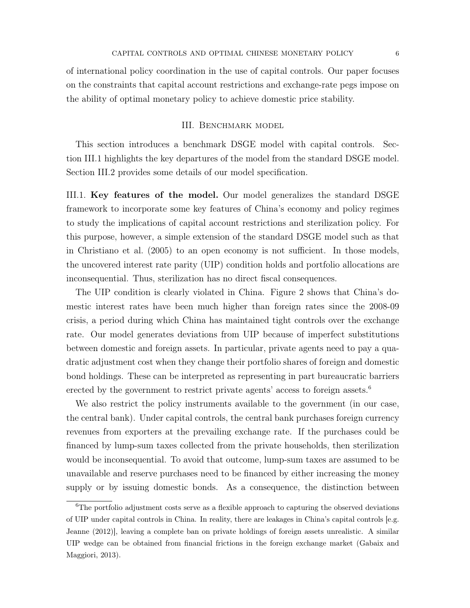of international policy coordination in the use of capital controls. Our paper focuses on the constraints that capital account restrictions and exchange-rate pegs impose on the ability of optimal monetary policy to achieve domestic price stability.

#### III. BENCHMARK MODEL

This section introduces a benchmark DSGE model with capital controls. Section III.1 highlights the key departures of the model from the standard DSGE model. Section III.2 provides some details of our model specification.

III.1. Key features of the model. Our model generalizes the standard DSGE framework to incorporate some key features of China's economy and policy regimes to study the implications of capital account restrictions and sterilization policy. For this purpose, however, a simple extension of the standard DSGE model such as that in Christiano et al. (2005) to an open economy is not sufficient. In those models, the uncovered interest rate parity (UIP) condition holds and portfolio allocations are inconsequential. Thus, sterilization has no direct fiscal consequences.

The UIP condition is clearly violated in China. Figure 2 shows that China's domestic interest rates have been much higher than foreign rates since the 2008-09 crisis, a period during which China has maintained tight controls over the exchange rate. Our model generates deviations from UIP because of imperfect substitutions between domestic and foreign assets. In particular, private agents need to pay a quadratic adjustment cost when they change their portfolio shares of foreign and domestic bond holdings. These can be interpreted as representing in part bureaucratic barriers erected by the government to restrict private agents' access to foreign assets.<sup>6</sup>

We also restrict the policy instruments available to the government (in our case, the central bank). Under capital controls, the central bank purchases foreign currency revenues from exporters at the prevailing exchange rate. If the purchases could be financed by lump-sum taxes collected from the private households, then sterilization would be inconsequential. To avoid that outcome, lump-sum taxes are assumed to be unavailable and reserve purchases need to be financed by either increasing the money supply or by issuing domestic bonds. As a consequence, the distinction between

<sup>&</sup>lt;sup>6</sup>The portfolio adjustment costs serve as a flexible approach to capturing the observed deviations of UIP under capital controls in China. In reality, there are leakages in China's capital controls [e.g. Jeanne (2012)], leaving a complete ban on private holdings of foreign assets unrealistic. A similar UIP wedge can be obtained from financial frictions in the foreign exchange market (Gabaix and Maggiori, 2013).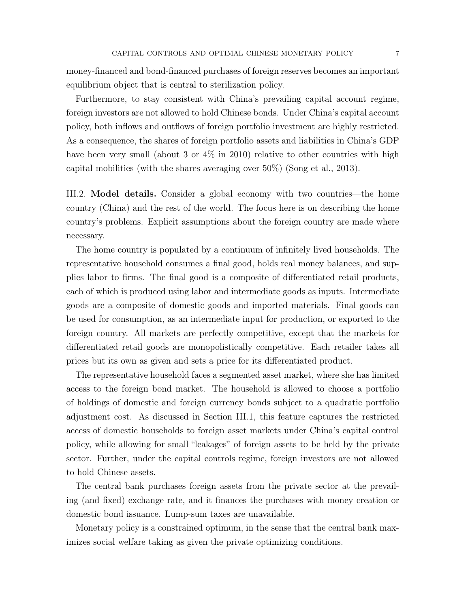money-financed and bond-financed purchases of foreign reserves becomes an important equilibrium object that is central to sterilization policy.

Furthermore, to stay consistent with China's prevailing capital account regime, foreign investors are not allowed to hold Chinese bonds. Under China's capital account policy, both inflows and outflows of foreign portfolio investment are highly restricted. As a consequence, the shares of foreign portfolio assets and liabilities in China's GDP have been very small (about 3 or  $4\%$  in 2010) relative to other countries with high capital mobilities (with the shares averaging over 50%) (Song et al., 2013).

III.2. Model details. Consider a global economy with two countries—the home country (China) and the rest of the world. The focus here is on describing the home country's problems. Explicit assumptions about the foreign country are made where necessary.

The home country is populated by a continuum of infinitely lived households. The representative household consumes a final good, holds real money balances, and supplies labor to firms. The final good is a composite of differentiated retail products, each of which is produced using labor and intermediate goods as inputs. Intermediate goods are a composite of domestic goods and imported materials. Final goods can be used for consumption, as an intermediate input for production, or exported to the foreign country. All markets are perfectly competitive, except that the markets for differentiated retail goods are monopolistically competitive. Each retailer takes all prices but its own as given and sets a price for its differentiated product.

The representative household faces a segmented asset market, where she has limited access to the foreign bond market. The household is allowed to choose a portfolio of holdings of domestic and foreign currency bonds subject to a quadratic portfolio adjustment cost. As discussed in Section III.1, this feature captures the restricted access of domestic households to foreign asset markets under China's capital control policy, while allowing for small "leakages" of foreign assets to be held by the private sector. Further, under the capital controls regime, foreign investors are not allowed to hold Chinese assets.

The central bank purchases foreign assets from the private sector at the prevailing (and fixed) exchange rate, and it finances the purchases with money creation or domestic bond issuance. Lump-sum taxes are unavailable.

Monetary policy is a constrained optimum, in the sense that the central bank maximizes social welfare taking as given the private optimizing conditions.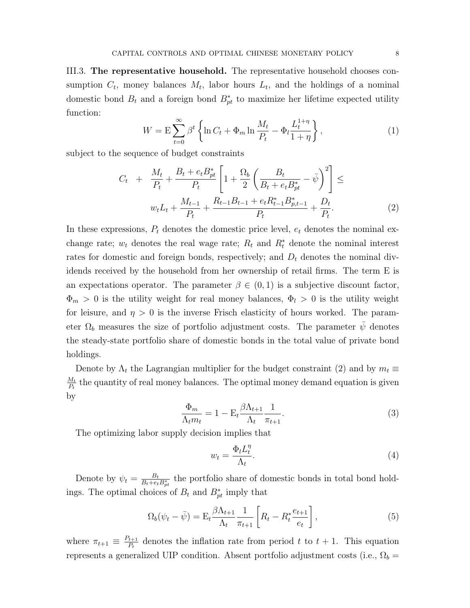III.3. The representative household. The representative household chooses consumption  $C_t$ , money balances  $M_t$ , labor hours  $L_t$ , and the holdings of a nominal domestic bond  $B_t$  and a foreign bond  $B_{pt}^*$  to maximize her lifetime expected utility function:

$$
W = \mathcal{E} \sum_{t=0}^{\infty} \beta^t \left\{ \ln C_t + \Phi_m \ln \frac{M_t}{P_t} - \Phi_l \frac{L_t^{1+\eta}}{1+\eta} \right\},\tag{1}
$$

subject to the sequence of budget constraints

$$
C_t + \frac{M_t}{P_t} + \frac{B_t + e_t B_{pt}^*}{P_t} \left[ 1 + \frac{\Omega_b}{2} \left( \frac{B_t}{B_t + e_t B_{pt}^*} - \bar{\psi} \right)^2 \right] \le
$$
  

$$
w_t L_t + \frac{M_{t-1}}{P_t} + \frac{R_{t-1} B_{t-1} + e_t R_{t-1}^* B_{p,t-1}^*}{P_t} + \frac{D_t}{P_t}.
$$
 (2)

In these expressions,  $P_t$  denotes the domestic price level,  $e_t$  denotes the nominal exchange rate;  $w_t$  denotes the real wage rate;  $R_t$  and  $R_t^*$  denote the nominal interest rates for domestic and foreign bonds, respectively; and  $D_t$  denotes the nominal dividends received by the household from her ownership of retail firms. The term E is an expectations operator. The parameter  $\beta \in (0,1)$  is a subjective discount factor,  $\Phi_m > 0$  is the utility weight for real money balances,  $\Phi_l > 0$  is the utility weight for leisure, and  $\eta > 0$  is the inverse Frisch elasticity of hours worked. The parameter  $\Omega_b$  measures the size of portfolio adjustment costs. The parameter  $\bar{\psi}$  denotes the steady-state portfolio share of domestic bonds in the total value of private bond holdings.

Denote by  $\Lambda_t$  the Lagrangian multiplier for the budget constraint (2) and by  $m_t \equiv$  $M_t$  $\frac{M_t}{P_t}$  the quantity of real money balances. The optimal money demand equation is given by

$$
\frac{\Phi_m}{\Lambda_t m_t} = 1 - \mathcal{E}_t \frac{\beta \Lambda_{t+1}}{\Lambda_t} \frac{1}{\pi_{t+1}}.
$$
\n(3)

The optimizing labor supply decision implies that

$$
w_t = \frac{\Phi_l L_t^{\eta}}{\Lambda_t}.
$$
\n<sup>(4)</sup>

Denote by  $\psi_t = \frac{B_t}{B_t + e_t B_{pt}^*}$  the portfolio share of domestic bonds in total bond holdings. The optimal choices of  $B_t$  and  $B_{pt}^*$  imply that

$$
\Omega_b(\psi_t - \bar{\psi}) = E_t \frac{\beta \Lambda_{t+1}}{\Lambda_t} \frac{1}{\pi_{t+1}} \left[ R_t - R_t^* \frac{e_{t+1}}{e_t} \right],
$$
\n(5)

where  $\pi_{t+1} \equiv \frac{P_{t+1}}{P_t}$  $\frac{t_{t+1}}{P_t}$  denotes the inflation rate from period t to  $t + 1$ . This equation represents a generalized UIP condition. Absent portfolio adjustment costs (i.e.,  $\Omega_b =$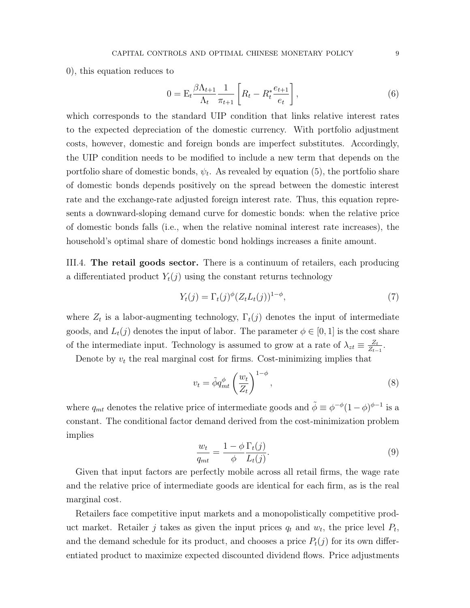0), this equation reduces to

$$
0 = \mathcal{E}_t \frac{\beta \Lambda_{t+1}}{\Lambda_t} \frac{1}{\pi_{t+1}} \left[ R_t - R_t^* \frac{e_{t+1}}{e_t} \right],
$$
 (6)

which corresponds to the standard UIP condition that links relative interest rates to the expected depreciation of the domestic currency. With portfolio adjustment costs, however, domestic and foreign bonds are imperfect substitutes. Accordingly, the UIP condition needs to be modified to include a new term that depends on the portfolio share of domestic bonds,  $\psi_t$ . As revealed by equation (5), the portfolio share of domestic bonds depends positively on the spread between the domestic interest rate and the exchange-rate adjusted foreign interest rate. Thus, this equation represents a downward-sloping demand curve for domestic bonds: when the relative price of domestic bonds falls (i.e., when the relative nominal interest rate increases), the household's optimal share of domestic bond holdings increases a finite amount.

III.4. The retail goods sector. There is a continuum of retailers, each producing a differentiated product  $Y_t(j)$  using the constant returns technology

$$
Y_t(j) = \Gamma_t(j)^{\phi}(Z_t L_t(j))^{1-\phi},\tag{7}
$$

where  $Z_t$  is a labor-augmenting technology,  $\Gamma_t(j)$  denotes the input of intermediate goods, and  $L_t(j)$  denotes the input of labor. The parameter  $\phi \in [0,1]$  is the cost share of the intermediate input. Technology is assumed to grow at a rate of  $\lambda_{zt} \equiv \frac{Z_t}{Z_t}$  $\frac{Z_t}{Z_{t-1}}$ .

Denote by  $v_t$  the real marginal cost for firms. Cost-minimizing implies that

$$
v_t = \tilde{\phi} q_{mt}^{\phi} \left(\frac{w_t}{Z_t}\right)^{1-\phi},\tag{8}
$$

where  $q_{mt}$  denotes the relative price of intermediate goods and  $\tilde{\phi} \equiv \phi^{-\phi} (1 - \phi)^{\phi - 1}$  is a constant. The conditional factor demand derived from the cost-minimization problem implies

$$
\frac{w_t}{q_{mt}} = \frac{1 - \phi}{\phi} \frac{\Gamma_t(j)}{L_t(j)}.
$$
\n(9)

Given that input factors are perfectly mobile across all retail firms, the wage rate and the relative price of intermediate goods are identical for each firm, as is the real marginal cost.

Retailers face competitive input markets and a monopolistically competitive product market. Retailer j takes as given the input prices  $q_t$  and  $w_t$ , the price level  $P_t$ , and the demand schedule for its product, and chooses a price  $P_t(j)$  for its own differentiated product to maximize expected discounted dividend flows. Price adjustments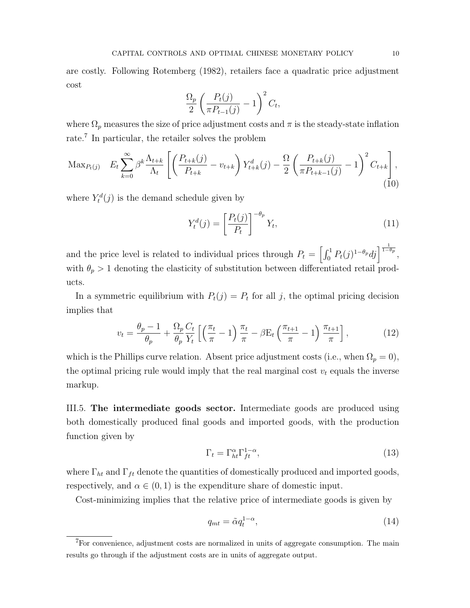are costly. Following Rotemberg (1982), retailers face a quadratic price adjustment cost

$$
\frac{\Omega_p}{2} \left( \frac{P_t(j)}{\pi P_{t-1}(j)} - 1 \right)^2 C_t,
$$

where  $\Omega_p$  measures the size of price adjustment costs and  $\pi$  is the steady-state inflation rate.<sup>7</sup> In particular, the retailer solves the problem

$$
\text{Max}_{P_t(j)} \quad E_t \sum_{k=0}^{\infty} \beta^k \frac{\Lambda_{t+k}}{\Lambda_t} \left[ \left( \frac{P_{t+k}(j)}{P_{t+k}} - v_{t+k} \right) Y_{t+k}^d(j) - \frac{\Omega}{2} \left( \frac{P_{t+k}(j)}{\pi P_{t+k-1}(j)} - 1 \right)^2 C_{t+k} \right], \tag{10}
$$

where  $Y_t^d(j)$  is the demand schedule given by

$$
Y_t^d(j) = \left[\frac{P_t(j)}{P_t}\right]^{-\theta_p} Y_t,\tag{11}
$$

and the price level is related to individual prices through  $P_t = \left[\int_0^1 P_t(j)^{1-\theta_p} dj\right]^{\frac{1}{1-\theta_p}}$ , with  $\theta_p > 1$  denoting the elasticity of substitution between differentiated retail products.

In a symmetric equilibrium with  $P_t(j) = P_t$  for all j, the optimal pricing decision implies that

$$
v_t = \frac{\theta_p - 1}{\theta_p} + \frac{\Omega_p C_t}{\theta_p} \left[ \left( \frac{\pi_t}{\pi} - 1 \right) \frac{\pi_t}{\pi} - \beta E_t \left( \frac{\pi_{t+1}}{\pi} - 1 \right) \frac{\pi_{t+1}}{\pi} \right],\tag{12}
$$

which is the Phillips curve relation. Absent price adjustment costs (i.e., when  $\Omega_p = 0$ ), the optimal pricing rule would imply that the real marginal cost  $v_t$  equals the inverse markup.

III.5. The intermediate goods sector. Intermediate goods are produced using both domestically produced final goods and imported goods, with the production function given by

$$
\Gamma_t = \Gamma_{ht}^{\alpha} \Gamma_{ft}^{1-\alpha},\tag{13}
$$

where  $\Gamma_{ht}$  and  $\Gamma_{ft}$  denote the quantities of domestically produced and imported goods, respectively, and  $\alpha \in (0,1)$  is the expenditure share of domestic input.

Cost-minimizing implies that the relative price of intermediate goods is given by

$$
q_{mt} = \tilde{\alpha} q_t^{1-\alpha},\tag{14}
$$

<sup>7</sup>For convenience, adjustment costs are normalized in units of aggregate consumption. The main results go through if the adjustment costs are in units of aggregate output.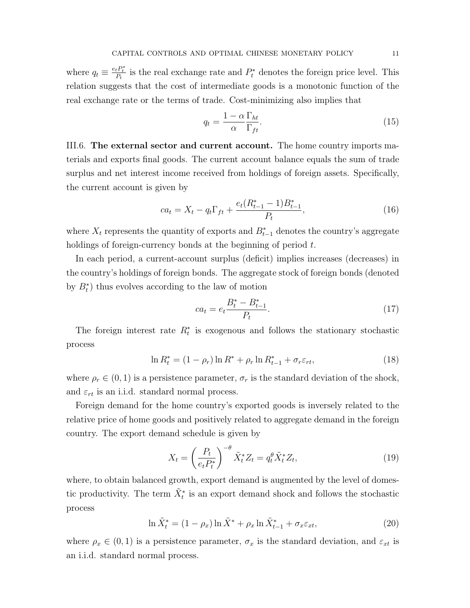where  $q_t \equiv \frac{e_t P_t^*}{P_t}$  is the real exchange rate and  $P_t^*$  denotes the foreign price level. This relation suggests that the cost of intermediate goods is a monotonic function of the real exchange rate or the terms of trade. Cost-minimizing also implies that

$$
q_t = \frac{1 - \alpha \Gamma_{ht}}{\alpha \Gamma_{ft}}.\tag{15}
$$

III.6. The external sector and current account. The home country imports materials and exports final goods. The current account balance equals the sum of trade surplus and net interest income received from holdings of foreign assets. Specifically, the current account is given by

$$
ca_t = X_t - q_t \Gamma_{ft} + \frac{e_t (R_{t-1}^* - 1) B_{t-1}^*}{P_t},\tag{16}
$$

where  $X_t$  represents the quantity of exports and  $B_{t-1}^*$  denotes the country's aggregate holdings of foreign-currency bonds at the beginning of period t.

In each period, a current-account surplus (deficit) implies increases (decreases) in the country's holdings of foreign bonds. The aggregate stock of foreign bonds (denoted by  $B_t^*$ ) thus evolves according to the law of motion

$$
ca_t = e_t \frac{B_t^* - B_{t-1}^*}{P_t}.
$$
\n(17)

The foreign interest rate  $R_t^*$  is exogenous and follows the stationary stochastic process

$$
\ln R_t^* = (1 - \rho_r) \ln R^* + \rho_r \ln R_{t-1}^* + \sigma_r \varepsilon_{rt},
$$
\n(18)

where  $\rho_r \in (0, 1)$  is a persistence parameter,  $\sigma_r$  is the standard deviation of the shock, and  $\varepsilon_{rt}$  is an i.i.d. standard normal process.

Foreign demand for the home country's exported goods is inversely related to the relative price of home goods and positively related to aggregate demand in the foreign country. The export demand schedule is given by

$$
X_t = \left(\frac{P_t}{e_t P_t^*}\right)^{-\theta} \tilde{X}_t^* Z_t = q_t^{\theta} \tilde{X}_t^* Z_t,
$$
\n(19)

where, to obtain balanced growth, export demand is augmented by the level of domestic productivity. The term  $\tilde{X}^*$  is an export demand shock and follows the stochastic process

$$
\ln \tilde{X}_t^* = (1 - \rho_x) \ln \tilde{X}^* + \rho_x \ln \tilde{X}_{t-1}^* + \sigma_x \varepsilon_{xt}, \tag{20}
$$

where  $\rho_x \in (0,1)$  is a persistence parameter,  $\sigma_x$  is the standard deviation, and  $\varepsilon_{xt}$  is an i.i.d. standard normal process.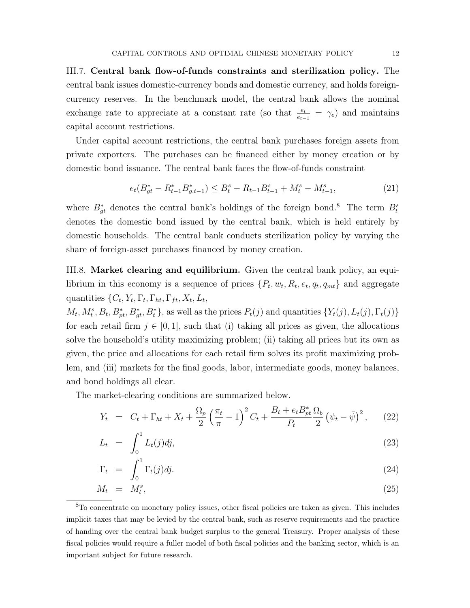III.7. Central bank flow-of-funds constraints and sterilization policy. The central bank issues domestic-currency bonds and domestic currency, and holds foreigncurrency reserves. In the benchmark model, the central bank allows the nominal exchange rate to appreciate at a constant rate (so that  $\frac{e_t}{e_{t-1}} = \gamma_e$ ) and maintains capital account restrictions.

Under capital account restrictions, the central bank purchases foreign assets from private exporters. The purchases can be financed either by money creation or by domestic bond issuance. The central bank faces the flow-of-funds constraint

$$
e_t(B_{gt}^* - R_{t-1}^* B_{g,t-1}^*) \le B_t^s - R_{t-1} B_{t-1}^s + M_t^s - M_{t-1}^s,
$$
\n
$$
(21)
$$

where  $B_{gt}^*$  denotes the central bank's holdings of the foreign bond.<sup>8</sup> The term  $B_t^s$ denotes the domestic bond issued by the central bank, which is held entirely by domestic households. The central bank conducts sterilization policy by varying the share of foreign-asset purchases financed by money creation.

III.8. Market clearing and equilibrium. Given the central bank policy, an equilibrium in this economy is a sequence of prices  $\{P_t, w_t, R_t, e_t, q_t, q_{mt}\}\$  and aggregate quantities {C<sup>t</sup> , Y<sup>t</sup> , Γ<sup>t</sup> , Γht, Γf t, X<sup>t</sup> , L<sup>t</sup> ,

 $M_t, M_t^s, B_t, B_{pt}^*, B_{gt}^*, B_t^*$ , as well as the prices  $P_t(j)$  and quantities  $\{Y_t(j), L_t(j), \Gamma_t(j)\}$ for each retail firm  $j \in [0, 1]$ , such that (i) taking all prices as given, the allocations solve the household's utility maximizing problem; (ii) taking all prices but its own as given, the price and allocations for each retail firm solves its profit maximizing problem, and (iii) markets for the final goods, labor, intermediate goods, money balances, and bond holdings all clear.

The market-clearing conditions are summarized below.

$$
Y_t = C_t + \Gamma_{ht} + X_t + \frac{\Omega_p}{2} \left(\frac{\pi_t}{\pi} - 1\right)^2 C_t + \frac{B_t + e_t B_{pt}^*}{P_t} \frac{\Omega_b}{2} \left(\psi_t - \bar{\psi}\right)^2, \tag{22}
$$

$$
L_t = \int_0^1 L_t(j)dj,\tag{23}
$$

$$
\Gamma_t = \int_0^1 \Gamma_t(j)dj. \tag{24}
$$

$$
M_t = M_t^s, \tag{25}
$$

<sup>8</sup>To concentrate on monetary policy issues, other fiscal policies are taken as given. This includes implicit taxes that may be levied by the central bank, such as reserve requirements and the practice of handing over the central bank budget surplus to the general Treasury. Proper analysis of these fiscal policies would require a fuller model of both fiscal policies and the banking sector, which is an important subject for future research.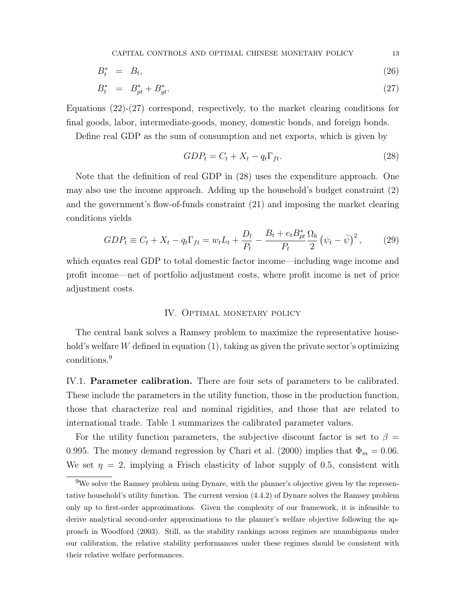CAPITAL CONTROLS AND OPTIMAL CHINESE MONETARY POLICY 13

$$
B_t^s = B_t,\tag{26}
$$

$$
B_t^* = B_{pt}^* + B_{gt}^*.
$$
\n(27)

Equations (22)-(27) correspond, respectively, to the market clearing conditions for final goods, labor, intermediate-goods, money, domestic bonds, and foreign bonds.

Define real GDP as the sum of consumption and net exports, which is given by

$$
GDP_t = C_t + X_t - q_t \Gamma_{ft}.
$$
\n
$$
(28)
$$

Note that the definition of real GDP in (28) uses the expenditure approach. One may also use the income approach. Adding up the household's budget constraint (2) and the government's flow-of-funds constraint (21) and imposing the market clearing conditions yields

$$
GDP_t \equiv C_t + X_t - q_t \Gamma_{ft} = w_t L_t + \frac{D_t}{P_t} - \frac{B_t + e_t B_{pt}^*}{P_t} \frac{\Omega_b}{2} (\psi_t - \bar{\psi})^2, \tag{29}
$$

which equates real GDP to total domestic factor income—including wage income and profit income—net of portfolio adjustment costs, where profit income is net of price adjustment costs.

### IV. Optimal monetary policy

The central bank solves a Ramsey problem to maximize the representative household's welfare  $W$  defined in equation (1), taking as given the private sector's optimizing conditions.<sup>9</sup>

IV.1. Parameter calibration. There are four sets of parameters to be calibrated. These include the parameters in the utility function, those in the production function, those that characterize real and nominal rigidities, and those that are related to international trade. Table 1 summarizes the calibrated parameter values.

For the utility function parameters, the subjective discount factor is set to  $\beta =$ 0.995. The money demand regression by Chari et al. (2000) implies that  $\Phi_m = 0.06$ . We set  $\eta = 2$ , implying a Frisch elasticity of labor supply of 0.5, consistent with

<sup>&</sup>lt;sup>9</sup>We solve the Ramsey problem using Dynare, with the planner's objective given by the representative household's utility function. The current version (4.4.2) of Dynare solves the Ramsey problem only up to first-order approximations. Given the complexity of our framework, it is infeasible to derive analytical second-order approximations to the planner's welfare objective following the approach in Woodford (2003). Still, as the stability rankings across regimes are unambiguous under our calibration, the relative stability performances under these regimes should be consistent with their relative welfare performances.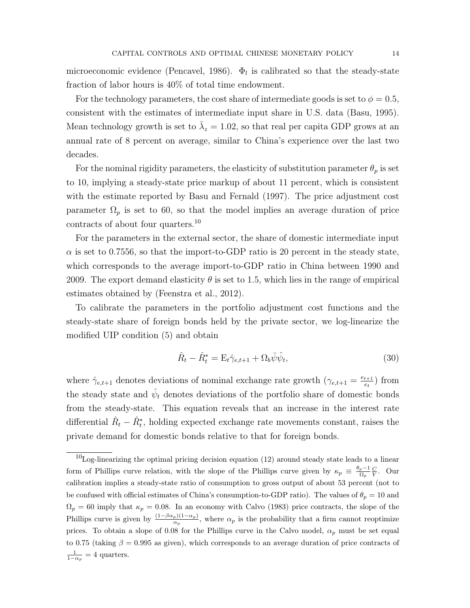microeconomic evidence (Pencavel, 1986).  $\Phi_l$  is calibrated so that the steady-state fraction of labor hours is 40% of total time endowment.

For the technology parameters, the cost share of intermediate goods is set to  $\phi = 0.5$ , consistent with the estimates of intermediate input share in U.S. data (Basu, 1995). Mean technology growth is set to  $\bar{\lambda}_z = 1.02$ , so that real per capita GDP grows at an annual rate of 8 percent on average, similar to China's experience over the last two decades.

For the nominal rigidity parameters, the elasticity of substitution parameter  $\theta_p$  is set to 10, implying a steady-state price markup of about 11 percent, which is consistent with the estimate reported by Basu and Fernald (1997). The price adjustment cost parameter  $\Omega_p$  is set to 60, so that the model implies an average duration of price contracts of about four quarters.<sup>10</sup>

For the parameters in the external sector, the share of domestic intermediate input  $\alpha$  is set to 0.7556, so that the import-to-GDP ratio is 20 percent in the steady state, which corresponds to the average import-to-GDP ratio in China between 1990 and 2009. The export demand elasticity  $\theta$  is set to 1.5, which lies in the range of empirical estimates obtained by (Feenstra et al., 2012).

To calibrate the parameters in the portfolio adjustment cost functions and the steady-state share of foreign bonds held by the private sector, we log-linearize the modified UIP condition (5) and obtain

$$
\hat{R}_t - \hat{R}_t^* = \mathcal{E}_t \hat{\gamma}_{e,t+1} + \Omega_b \bar{\psi} \hat{\psi}_t,\tag{30}
$$

where  $\hat{\gamma}_{e,t+1}$  denotes deviations of nominal exchange rate growth  $(\gamma_{e,t+1} = \frac{e_{t+1}}{e_t})$  $\frac{t+1}{e_t}$ ) from the steady state and  $\hat{\psi}_t$  denotes deviations of the portfolio share of domestic bonds from the steady-state. This equation reveals that an increase in the interest rate differential  $\hat{R}_t - \hat{R}_t^*$ , holding expected exchange rate movements constant, raises the private demand for domestic bonds relative to that for foreign bonds.

 $10$ Log-linearizing the optimal pricing decision equation (12) around steady state leads to a linear form of Phillips curve relation, with the slope of the Phillips curve given by  $\kappa_p \equiv \frac{\theta_p-1}{\Omega_p}$  $\frac{p-1}{\Omega_p} \frac{C}{Y}$ . Our calibration implies a steady-state ratio of consumption to gross output of about 53 percent (not to be confused with official estimates of China's consumption-to-GDP ratio). The values of  $\theta_p = 10$  and  $\Omega_p = 60$  imply that  $\kappa_p = 0.08$ . In an economy with Calvo (1983) price contracts, the slope of the Phillips curve is given by  $\frac{(1-\beta\alpha_p)(1-\alpha_p)}{\alpha_p}$ , where  $\alpha_p$  is the probability that a firm cannot reoptimize prices. To obtain a slope of 0.08 for the Phillips curve in the Calvo model,  $\alpha_p$  must be set equal to 0.75 (taking  $\beta = 0.995$  as given), which corresponds to an average duration of price contracts of  $\frac{1}{1-\alpha_p} = 4$  quarters.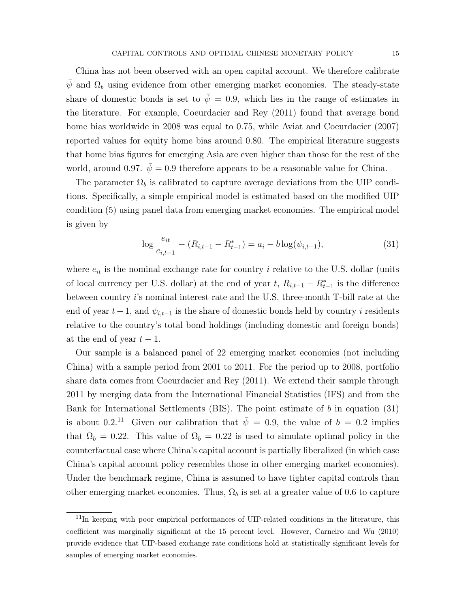China has not been observed with an open capital account. We therefore calibrate  $\bar{\psi}$  and  $\Omega_b$  using evidence from other emerging market economies. The steady-state share of domestic bonds is set to  $\bar{\psi} = 0.9$ , which lies in the range of estimates in the literature. For example, Coeurdacier and Rey (2011) found that average bond home bias worldwide in 2008 was equal to 0.75, while Aviat and Coeurdacier (2007) reported values for equity home bias around 0.80. The empirical literature suggests that home bias figures for emerging Asia are even higher than those for the rest of the world, around 0.97.  $\bar{\psi} = 0.9$  therefore appears to be a reasonable value for China.

The parameter  $\Omega_b$  is calibrated to capture average deviations from the UIP conditions. Specifically, a simple empirical model is estimated based on the modified UIP condition (5) using panel data from emerging market economies. The empirical model is given by

$$
\log \frac{e_{it}}{e_{i,t-1}} - (R_{i,t-1} - R_{t-1}^*) = a_i - b \log(\psi_{i,t-1}), \tag{31}
$$

where  $e_{it}$  is the nominal exchange rate for country i relative to the U.S. dollar (units of local currency per U.S. dollar) at the end of year  $t, R_{i,t-1} - R_{t-1}^*$  is the difference between country i's nominal interest rate and the U.S. three-month T-bill rate at the end of year  $t-1$ , and  $\psi_{i,t-1}$  is the share of domestic bonds held by country i residents relative to the country's total bond holdings (including domestic and foreign bonds) at the end of year  $t-1$ .

Our sample is a balanced panel of 22 emerging market economies (not including China) with a sample period from 2001 to 2011. For the period up to 2008, portfolio share data comes from Coeurdacier and Rey (2011). We extend their sample through 2011 by merging data from the International Financial Statistics (IFS) and from the Bank for International Settlements (BIS). The point estimate of  $b$  in equation (31) is about 0.2.<sup>11</sup> Given our calibration that  $\bar{\psi} = 0.9$ , the value of  $b = 0.2$  implies that  $\Omega_b = 0.22$ . This value of  $\Omega_b = 0.22$  is used to simulate optimal policy in the counterfactual case where China's capital account is partially liberalized (in which case China's capital account policy resembles those in other emerging market economies). Under the benchmark regime, China is assumed to have tighter capital controls than other emerging market economies. Thus,  $\Omega_b$  is set at a greater value of 0.6 to capture

<sup>11</sup>In keeping with poor empirical performances of UIP-related conditions in the literature, this coefficient was marginally significant at the 15 percent level. However, Carneiro and Wu (2010) provide evidence that UIP-based exchange rate conditions hold at statistically significant levels for samples of emerging market economies.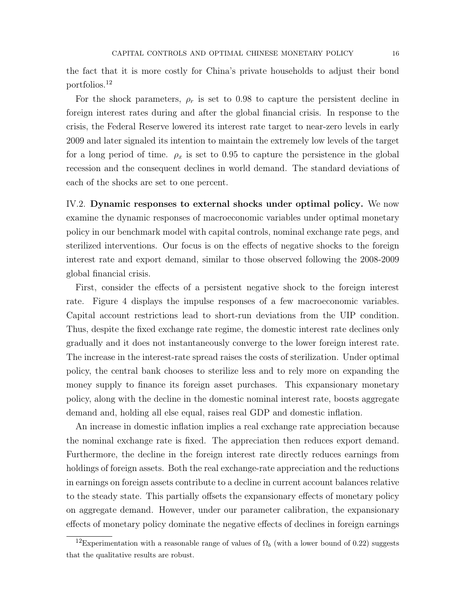the fact that it is more costly for China's private households to adjust their bond portfolios.<sup>12</sup>

For the shock parameters,  $\rho_r$  is set to 0.98 to capture the persistent decline in foreign interest rates during and after the global financial crisis. In response to the crisis, the Federal Reserve lowered its interest rate target to near-zero levels in early 2009 and later signaled its intention to maintain the extremely low levels of the target for a long period of time.  $\rho_x$  is set to 0.95 to capture the persistence in the global recession and the consequent declines in world demand. The standard deviations of each of the shocks are set to one percent.

IV.2. Dynamic responses to external shocks under optimal policy. We now examine the dynamic responses of macroeconomic variables under optimal monetary policy in our benchmark model with capital controls, nominal exchange rate pegs, and sterilized interventions. Our focus is on the effects of negative shocks to the foreign interest rate and export demand, similar to those observed following the 2008-2009 global financial crisis.

First, consider the effects of a persistent negative shock to the foreign interest rate. Figure 4 displays the impulse responses of a few macroeconomic variables. Capital account restrictions lead to short-run deviations from the UIP condition. Thus, despite the fixed exchange rate regime, the domestic interest rate declines only gradually and it does not instantaneously converge to the lower foreign interest rate. The increase in the interest-rate spread raises the costs of sterilization. Under optimal policy, the central bank chooses to sterilize less and to rely more on expanding the money supply to finance its foreign asset purchases. This expansionary monetary policy, along with the decline in the domestic nominal interest rate, boosts aggregate demand and, holding all else equal, raises real GDP and domestic inflation.

An increase in domestic inflation implies a real exchange rate appreciation because the nominal exchange rate is fixed. The appreciation then reduces export demand. Furthermore, the decline in the foreign interest rate directly reduces earnings from holdings of foreign assets. Both the real exchange-rate appreciation and the reductions in earnings on foreign assets contribute to a decline in current account balances relative to the steady state. This partially offsets the expansionary effects of monetary policy on aggregate demand. However, under our parameter calibration, the expansionary effects of monetary policy dominate the negative effects of declines in foreign earnings

<sup>&</sup>lt;sup>12</sup>Experimentation with a reasonable range of values of  $\Omega_b$  (with a lower bound of 0.22) suggests that the qualitative results are robust.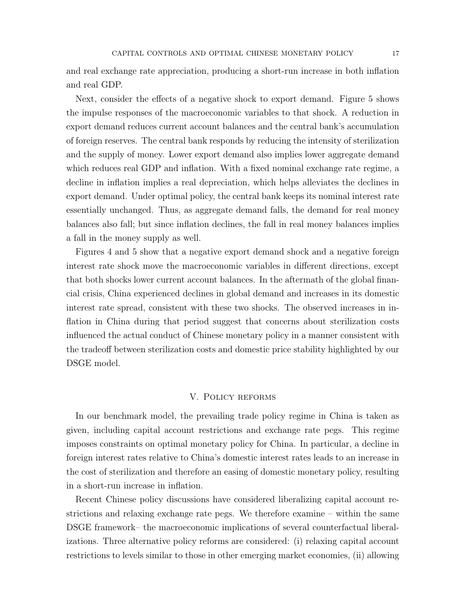and real exchange rate appreciation, producing a short-run increase in both inflation and real GDP.

Next, consider the effects of a negative shock to export demand. Figure 5 shows the impulse responses of the macroeconomic variables to that shock. A reduction in export demand reduces current account balances and the central bank's accumulation of foreign reserves. The central bank responds by reducing the intensity of sterilization and the supply of money. Lower export demand also implies lower aggregate demand which reduces real GDP and inflation. With a fixed nominal exchange rate regime, a decline in inflation implies a real depreciation, which helps alleviates the declines in export demand. Under optimal policy, the central bank keeps its nominal interest rate essentially unchanged. Thus, as aggregate demand falls, the demand for real money balances also fall; but since inflation declines, the fall in real money balances implies a fall in the money supply as well.

Figures 4 and 5 show that a negative export demand shock and a negative foreign interest rate shock move the macroeconomic variables in different directions, except that both shocks lower current account balances. In the aftermath of the global financial crisis, China experienced declines in global demand and increases in its domestic interest rate spread, consistent with these two shocks. The observed increases in inflation in China during that period suggest that concerns about sterilization costs influenced the actual conduct of Chinese monetary policy in a manner consistent with the tradeoff between sterilization costs and domestic price stability highlighted by our DSGE model.

#### V. Policy reforms

In our benchmark model, the prevailing trade policy regime in China is taken as given, including capital account restrictions and exchange rate pegs. This regime imposes constraints on optimal monetary policy for China. In particular, a decline in foreign interest rates relative to China's domestic interest rates leads to an increase in the cost of sterilization and therefore an easing of domestic monetary policy, resulting in a short-run increase in inflation.

Recent Chinese policy discussions have considered liberalizing capital account restrictions and relaxing exchange rate pegs. We therefore examine – within the same DSGE framework– the macroeconomic implications of several counterfactual liberalizations. Three alternative policy reforms are considered: (i) relaxing capital account restrictions to levels similar to those in other emerging market economies, (ii) allowing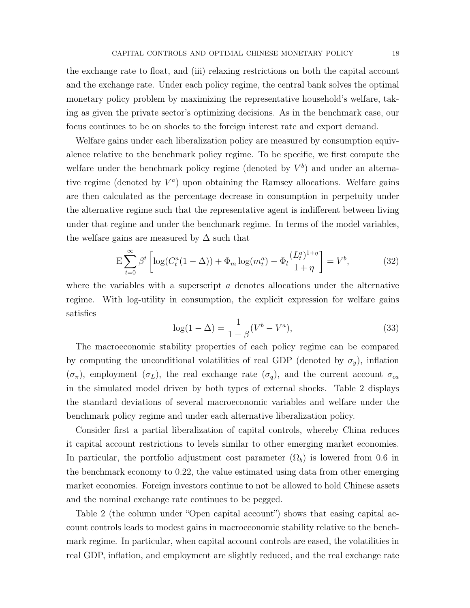the exchange rate to float, and (iii) relaxing restrictions on both the capital account and the exchange rate. Under each policy regime, the central bank solves the optimal monetary policy problem by maximizing the representative household's welfare, taking as given the private sector's optimizing decisions. As in the benchmark case, our focus continues to be on shocks to the foreign interest rate and export demand.

Welfare gains under each liberalization policy are measured by consumption equivalence relative to the benchmark policy regime. To be specific, we first compute the welfare under the benchmark policy regime (denoted by  $V^b$ ) and under an alternative regime (denoted by  $V^a$ ) upon obtaining the Ramsey allocations. Welfare gains are then calculated as the percentage decrease in consumption in perpetuity under the alternative regime such that the representative agent is indifferent between living under that regime and under the benchmark regime. In terms of the model variables, the welfare gains are measured by  $\Delta$  such that

$$
E\sum_{t=0}^{\infty} \beta^t \left[ \log(C_t^a(1-\Delta)) + \Phi_m \log(m_t^a) - \Phi_l \frac{(L_t^a)^{1+\eta}}{1+\eta} \right] = V^b,
$$
 (32)

where the variables with a superscript  $\alpha$  denotes allocations under the alternative regime. With log-utility in consumption, the explicit expression for welfare gains satisfies

$$
\log(1 - \Delta) = \frac{1}{1 - \beta} (V^b - V^a),\tag{33}
$$

The macroeconomic stability properties of each policy regime can be compared by computing the unconditional volatilities of real GDP (denoted by  $\sigma_y$ ), inflation  $(\sigma_{\pi})$ , employment  $(\sigma_{L})$ , the real exchange rate  $(\sigma_{q})$ , and the current account  $\sigma_{ca}$ in the simulated model driven by both types of external shocks. Table 2 displays the standard deviations of several macroeconomic variables and welfare under the benchmark policy regime and under each alternative liberalization policy.

Consider first a partial liberalization of capital controls, whereby China reduces it capital account restrictions to levels similar to other emerging market economies. In particular, the portfolio adjustment cost parameter  $(\Omega_b)$  is lowered from 0.6 in the benchmark economy to 0.22, the value estimated using data from other emerging market economies. Foreign investors continue to not be allowed to hold Chinese assets and the nominal exchange rate continues to be pegged.

Table 2 (the column under "Open capital account") shows that easing capital account controls leads to modest gains in macroeconomic stability relative to the benchmark regime. In particular, when capital account controls are eased, the volatilities in real GDP, inflation, and employment are slightly reduced, and the real exchange rate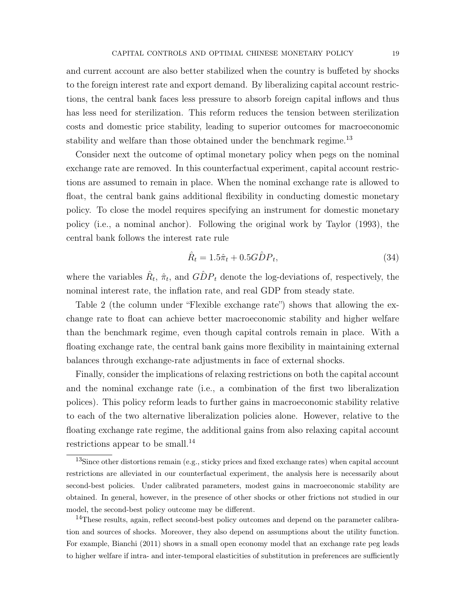and current account are also better stabilized when the country is buffeted by shocks to the foreign interest rate and export demand. By liberalizing capital account restrictions, the central bank faces less pressure to absorb foreign capital inflows and thus has less need for sterilization. This reform reduces the tension between sterilization costs and domestic price stability, leading to superior outcomes for macroeconomic stability and welfare than those obtained under the benchmark regime.<sup>13</sup>

Consider next the outcome of optimal monetary policy when pegs on the nominal exchange rate are removed. In this counterfactual experiment, capital account restrictions are assumed to remain in place. When the nominal exchange rate is allowed to float, the central bank gains additional flexibility in conducting domestic monetary policy. To close the model requires specifying an instrument for domestic monetary policy (i.e., a nominal anchor). Following the original work by Taylor (1993), the central bank follows the interest rate rule

$$
\hat{R}_t = 1.5\hat{\pi}_t + 0.5G\hat{D}P_t,\tag{34}
$$

where the variables  $\hat{R}_t$ ,  $\hat{\pi}_t$ , and  $\hat{GDP}_t$  denote the log-deviations of, respectively, the nominal interest rate, the inflation rate, and real GDP from steady state.

Table 2 (the column under "Flexible exchange rate") shows that allowing the exchange rate to float can achieve better macroeconomic stability and higher welfare than the benchmark regime, even though capital controls remain in place. With a floating exchange rate, the central bank gains more flexibility in maintaining external balances through exchange-rate adjustments in face of external shocks.

Finally, consider the implications of relaxing restrictions on both the capital account and the nominal exchange rate (i.e., a combination of the first two liberalization polices). This policy reform leads to further gains in macroeconomic stability relative to each of the two alternative liberalization policies alone. However, relative to the floating exchange rate regime, the additional gains from also relaxing capital account restrictions appear to be small.<sup>14</sup>

 $13$ Since other distortions remain (e.g., sticky prices and fixed exchange rates) when capital account restrictions are alleviated in our counterfactual experiment, the analysis here is necessarily about second-best policies. Under calibrated parameters, modest gains in macroeconomic stability are obtained. In general, however, in the presence of other shocks or other frictions not studied in our model, the second-best policy outcome may be different.

<sup>&</sup>lt;sup>14</sup>These results, again, reflect second-best policy outcomes and depend on the parameter calibration and sources of shocks. Moreover, they also depend on assumptions about the utility function. For example, Bianchi (2011) shows in a small open economy model that an exchange rate peg leads to higher welfare if intra- and inter-temporal elasticities of substitution in preferences are sufficiently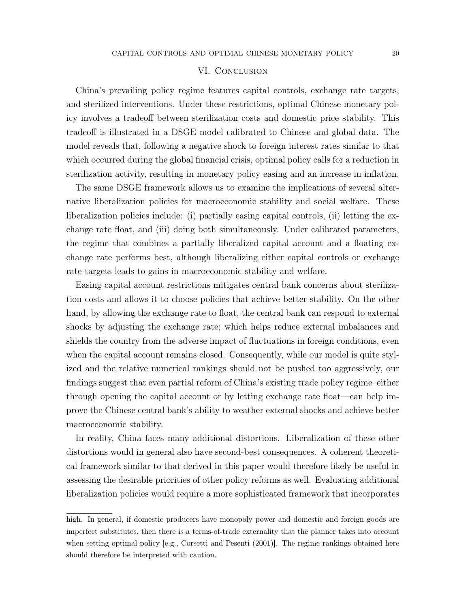#### VI. Conclusion

China's prevailing policy regime features capital controls, exchange rate targets, and sterilized interventions. Under these restrictions, optimal Chinese monetary policy involves a tradeoff between sterilization costs and domestic price stability. This tradeoff is illustrated in a DSGE model calibrated to Chinese and global data. The model reveals that, following a negative shock to foreign interest rates similar to that which occurred during the global financial crisis, optimal policy calls for a reduction in sterilization activity, resulting in monetary policy easing and an increase in inflation.

The same DSGE framework allows us to examine the implications of several alternative liberalization policies for macroeconomic stability and social welfare. These liberalization policies include: (i) partially easing capital controls, (ii) letting the exchange rate float, and (iii) doing both simultaneously. Under calibrated parameters, the regime that combines a partially liberalized capital account and a floating exchange rate performs best, although liberalizing either capital controls or exchange rate targets leads to gains in macroeconomic stability and welfare.

Easing capital account restrictions mitigates central bank concerns about sterilization costs and allows it to choose policies that achieve better stability. On the other hand, by allowing the exchange rate to float, the central bank can respond to external shocks by adjusting the exchange rate; which helps reduce external imbalances and shields the country from the adverse impact of fluctuations in foreign conditions, even when the capital account remains closed. Consequently, while our model is quite stylized and the relative numerical rankings should not be pushed too aggressively, our findings suggest that even partial reform of China's existing trade policy regime–either through opening the capital account or by letting exchange rate float—can help improve the Chinese central bank's ability to weather external shocks and achieve better macroeconomic stability.

In reality, China faces many additional distortions. Liberalization of these other distortions would in general also have second-best consequences. A coherent theoretical framework similar to that derived in this paper would therefore likely be useful in assessing the desirable priorities of other policy reforms as well. Evaluating additional liberalization policies would require a more sophisticated framework that incorporates

high. In general, if domestic producers have monopoly power and domestic and foreign goods are imperfect substitutes, then there is a terms-of-trade externality that the planner takes into account when setting optimal policy [e.g., Corsetti and Pesenti (2001)]. The regime rankings obtained here should therefore be interpreted with caution.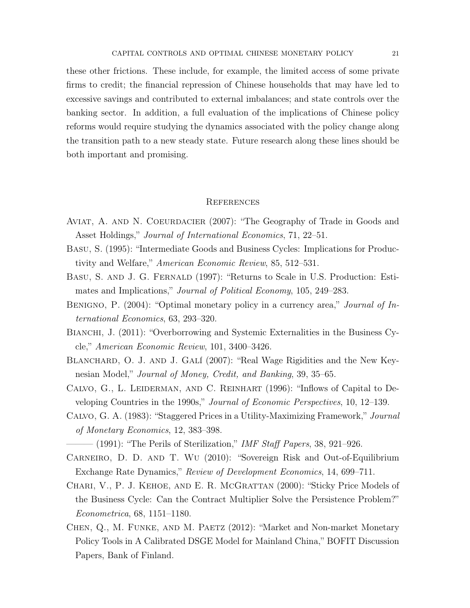these other frictions. These include, for example, the limited access of some private firms to credit; the financial repression of Chinese households that may have led to excessive savings and contributed to external imbalances; and state controls over the banking sector. In addition, a full evaluation of the implications of Chinese policy reforms would require studying the dynamics associated with the policy change along the transition path to a new steady state. Future research along these lines should be both important and promising.

#### **REFERENCES**

- AVIAT, A. AND N. COEURDACIER (2007): "The Geography of Trade in Goods and Asset Holdings," Journal of International Economics, 71, 22–51.
- Basu, S. (1995): "Intermediate Goods and Business Cycles: Implications for Productivity and Welfare," American Economic Review, 85, 512–531.
- Basu, S. and J. G. Fernald (1997): "Returns to Scale in U.S. Production: Estimates and Implications," Journal of Political Economy, 105, 249–283.
- BENIGNO, P. (2004): "Optimal monetary policy in a currency area," *Journal of In*ternational Economics, 63, 293–320.
- BIANCHI, J. (2011): "Overborrowing and Systemic Externalities in the Business Cycle," American Economic Review, 101, 3400–3426.
- BLANCHARD, O. J. AND J. GALÍ (2007): "Real Wage Rigidities and the New Keynesian Model," Journal of Money, Credit, and Banking, 39, 35–65.
- CALVO, G., L. LEIDERMAN, AND C. REINHART (1996): "Inflows of Capital to Developing Countries in the 1990s," Journal of Economic Perspectives, 10, 12–139.
- Calvo, G. A. (1983): "Staggered Prices in a Utility-Maximizing Framework," Journal of Monetary Economics, 12, 383–398.
- $-$  (1991): "The Perils of Sterilization," IMF Staff Papers, 38, 921–926.
- Carneiro, D. D. and T. Wu (2010): "Sovereign Risk and Out-of-Equilibrium Exchange Rate Dynamics," Review of Development Economics, 14, 699–711.
- Chari, V., P. J. Kehoe, and E. R. McGrattan (2000): "Sticky Price Models of the Business Cycle: Can the Contract Multiplier Solve the Persistence Problem?" Econometrica, 68, 1151–1180.
- CHEN, Q., M. FUNKE, AND M. PAETZ (2012): "Market and Non-market Monetary Policy Tools in A Calibrated DSGE Model for Mainland China," BOFIT Discussion Papers, Bank of Finland.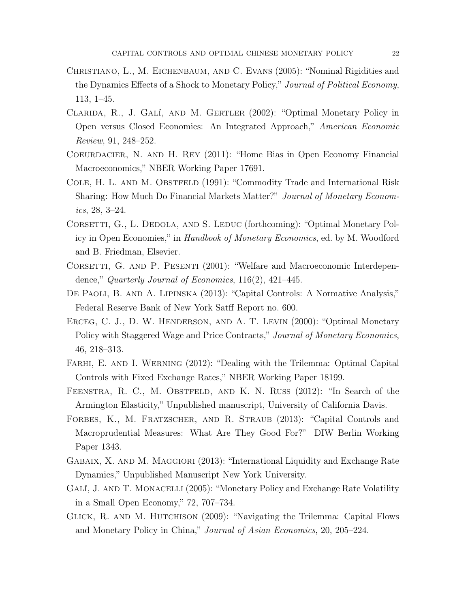- Christiano, L., M. Eichenbaum, and C. Evans (2005): "Nominal Rigidities and the Dynamics Effects of a Shock to Monetary Policy," Journal of Political Economy, 113, 1–45.
- Clarida, R., J. Galí, and M. Gertler (2002): "Optimal Monetary Policy in Open versus Closed Economies: An Integrated Approach," American Economic Review, 91, 248–252.
- Coeurdacier, N. and H. Rey (2011): "Home Bias in Open Economy Financial Macroeconomics," NBER Working Paper 17691.
- COLE, H. L. AND M. OBSTFELD (1991): "Commodity Trade and International Risk Sharing: How Much Do Financial Markets Matter?" Journal of Monetary Economics, 28, 3–24.
- CORSETTI, G., L. DEDOLA, AND S. LEDUC (forthcoming): "Optimal Monetary Policy in Open Economies," in Handbook of Monetary Economics, ed. by M. Woodford and B. Friedman, Elsevier.
- CORSETTI, G. AND P. PESENTI (2001): "Welfare and Macroeconomic Interdependence," Quarterly Journal of Economics, 116(2), 421–445.
- De Paoli, B. and A. Lipinska (2013): "Capital Controls: A Normative Analysis," Federal Reserve Bank of New York Satff Report no. 600.
- Erceg, C. J., D. W. Henderson, and A. T. Levin (2000): "Optimal Monetary Policy with Staggered Wage and Price Contracts," Journal of Monetary Economics, 46, 218–313.
- FARHI, E. AND I. WERNING (2012): "Dealing with the Trilemma: Optimal Capital Controls with Fixed Exchange Rates," NBER Working Paper 18199.
- FEENSTRA, R. C., M. OBSTFELD, AND K. N. RUSS (2012): "In Search of the Armington Elasticity," Unpublished manuscript, University of California Davis.
- FORBES, K., M. FRATZSCHER, AND R. STRAUB (2013): "Capital Controls and Macroprudential Measures: What Are They Good For?" DIW Berlin Working Paper 1343.
- GABAIX, X. AND M. MAGGIORI (2013): "International Liquidity and Exchange Rate Dynamics," Unpublished Manuscript New York University.
- GALÍ, J. AND T. MONACELLI (2005): "Monetary Policy and Exchange Rate Volatility in a Small Open Economy," 72, 707–734.
- Glick, R. and M. Hutchison (2009): "Navigating the Trilemma: Capital Flows and Monetary Policy in China," Journal of Asian Economics, 20, 205–224.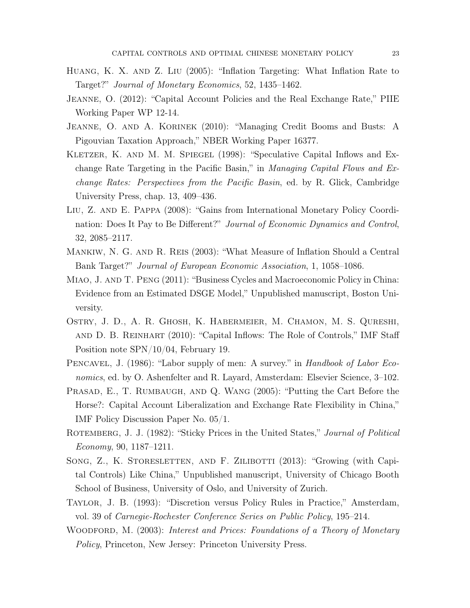- Huang, K. X. and Z. Liu (2005): "Inflation Targeting: What Inflation Rate to Target?" Journal of Monetary Economics, 52, 1435–1462.
- Jeanne, O. (2012): "Capital Account Policies and the Real Exchange Rate," PIIE Working Paper WP 12-14.
- Jeanne, O. and A. Korinek (2010): "Managing Credit Booms and Busts: A Pigouvian Taxation Approach," NBER Working Paper 16377.
- KLETZER, K. AND M. M. SPIEGEL (1998): "Speculative Capital Inflows and Exchange Rate Targeting in the Pacific Basin," in Managing Capital Flows and Exchange Rates: Perspectives from the Pacific Basin, ed. by R. Glick, Cambridge University Press, chap. 13, 409–436.
- Liu, Z. and E. Pappa (2008): "Gains from International Monetary Policy Coordination: Does It Pay to Be Different?" Journal of Economic Dynamics and Control, 32, 2085–2117.
- Mankiw, N. G. and R. Reis (2003): "What Measure of Inflation Should a Central Bank Target?" Journal of European Economic Association, 1, 1058–1086.
- Miao, J. and T. Peng (2011): "Business Cycles and Macroeconomic Policy in China: Evidence from an Estimated DSGE Model," Unpublished manuscript, Boston University.
- Ostry, J. D., A. R. Ghosh, K. Habermeier, M. Chamon, M. S. Qureshi, and D. B. Reinhart (2010): "Capital Inflows: The Role of Controls," IMF Staff Position note SPN/10/04, February 19.
- Pencavel, J. (1986): "Labor supply of men: A survey." in Handbook of Labor Economics, ed. by O. Ashenfelter and R. Layard, Amsterdam: Elsevier Science, 3–102.
- PRASAD, E., T. RUMBAUGH, AND Q. WANG (2005): "Putting the Cart Before the Horse?: Capital Account Liberalization and Exchange Rate Flexibility in China," IMF Policy Discussion Paper No. 05/1.
- ROTEMBERG, J. J. (1982): "Sticky Prices in the United States," Journal of Political Economy, 90, 1187–1211.
- SONG, Z., K. STORESLETTEN, AND F. ZILIBOTTI (2013): "Growing (with Capital Controls) Like China," Unpublished manuscript, University of Chicago Booth School of Business, University of Oslo, and University of Zurich.
- Taylor, J. B. (1993): "Discretion versus Policy Rules in Practice," Amsterdam, vol. 39 of Carnegie-Rochester Conference Series on Public Policy, 195–214.
- WOODFORD, M. (2003): Interest and Prices: Foundations of a Theory of Monetary Policy, Princeton, New Jersey: Princeton University Press.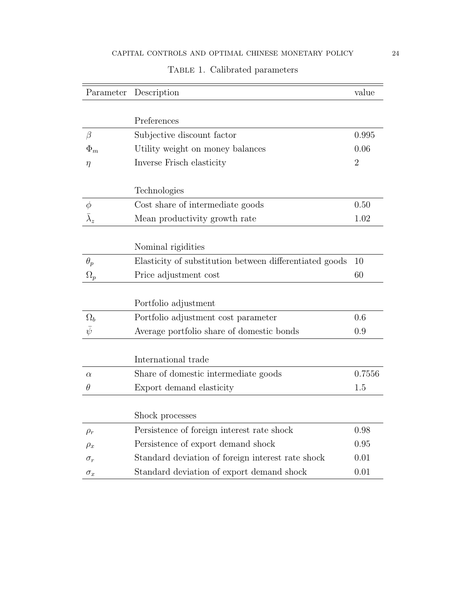| Parameter                | Description                                             | value  |  |  |  |
|--------------------------|---------------------------------------------------------|--------|--|--|--|
|                          |                                                         |        |  |  |  |
|                          | Preferences                                             |        |  |  |  |
| $\beta$                  | Subjective discount factor                              |        |  |  |  |
| $\Phi_m$                 | Utility weight on money balances                        |        |  |  |  |
| $\eta$                   | Inverse Frisch elasticity                               |        |  |  |  |
|                          |                                                         |        |  |  |  |
|                          | Technologies                                            |        |  |  |  |
|                          | Cost share of intermediate goods                        |        |  |  |  |
| $\phi$ $\bar{\lambda}_z$ | Mean productivity growth rate                           | 1.02   |  |  |  |
|                          |                                                         |        |  |  |  |
|                          | Nominal rigidities                                      |        |  |  |  |
| $\theta_p$               | Elasticity of substitution between differentiated goods | 10     |  |  |  |
| $\Omega_p$               | Price adjustment cost                                   | 60     |  |  |  |
|                          |                                                         |        |  |  |  |
|                          | Portfolio adjustment                                    |        |  |  |  |
| $\Omega_b$               | Portfolio adjustment cost parameter                     | 0.6    |  |  |  |
| $\bar{\psi}$             | Average portfolio share of domestic bonds               | 0.9    |  |  |  |
|                          |                                                         |        |  |  |  |
|                          | International trade                                     | 0.7556 |  |  |  |
| $\alpha$                 | Share of domestic intermediate goods                    |        |  |  |  |
| $\theta$                 | Export demand elasticity                                | 1.5    |  |  |  |
|                          |                                                         |        |  |  |  |
|                          | Shock processes<br>0.98                                 |        |  |  |  |
| $\rho_r$                 | Persistence of foreign interest rate shock              |        |  |  |  |
| $\rho_x$                 | Persistence of export demand shock                      | 0.95   |  |  |  |
| $\sigma_r$               | Standard deviation of foreign interest rate shock       |        |  |  |  |
| $\sigma_x$               | Standard deviation of export demand shock<br>0.01       |        |  |  |  |

# TABLE 1. Calibrated parameters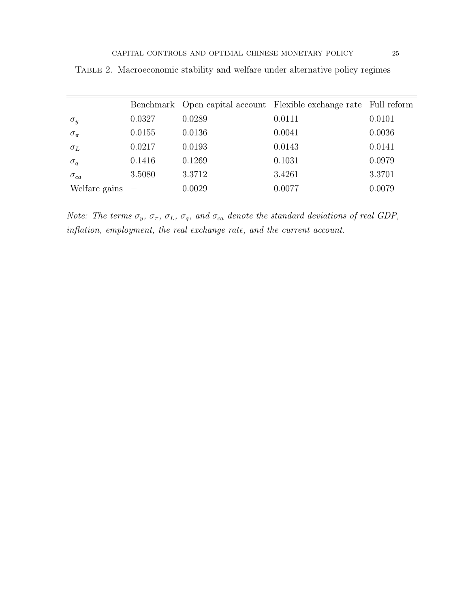|                   |        |        | Benchmark Open capital account Flexible exchange rate Full reform |        |
|-------------------|--------|--------|-------------------------------------------------------------------|--------|
| $\sigma_y$        | 0.0327 | 0.0289 | 0.0111                                                            | 0.0101 |
| $\sigma_{\pi}$    | 0.0155 | 0.0136 | 0.0041                                                            | 0.0036 |
| $\sigma_L$        | 0.0217 | 0.0193 | 0.0143                                                            | 0.0141 |
| $\sigma_q$        | 0.1416 | 0.1269 | 0.1031                                                            | 0.0979 |
| $\sigma_{ca}$     | 3.5080 | 3.3712 | 3.4261                                                            | 3.3701 |
| Welfare gains $-$ |        | 0.0029 | 0.0077                                                            | 0.0079 |

Table 2. Macroeconomic stability and welfare under alternative policy regimes

Note: The terms  $\sigma_y$ ,  $\sigma_{\pi}$ ,  $\sigma_L$ ,  $\sigma_q$ , and  $\sigma_{ca}$  denote the standard deviations of real GDP, inflation, employment, the real exchange rate, and the current account.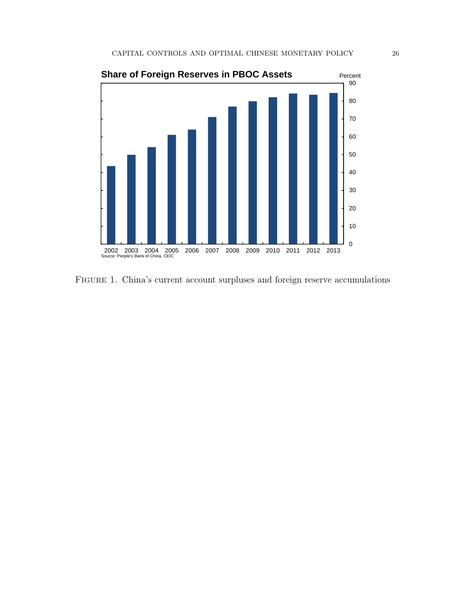

Figure 1. China's current account surpluses and foreign reserve accumulations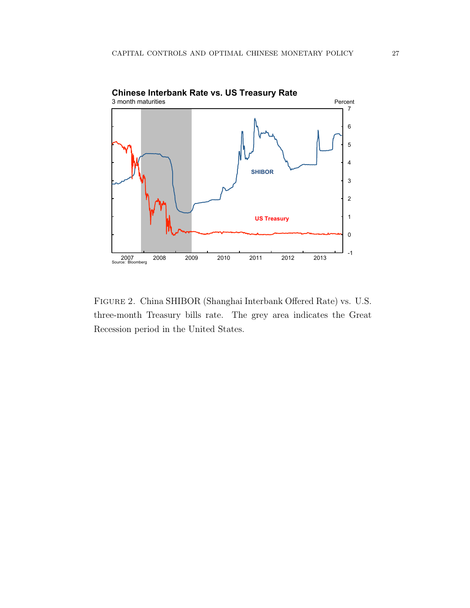

Figure 2. China SHIBOR (Shanghai Interbank Offered Rate) vs. U.S. three-month Treasury bills rate. The grey area indicates the Great Recession period in the United States.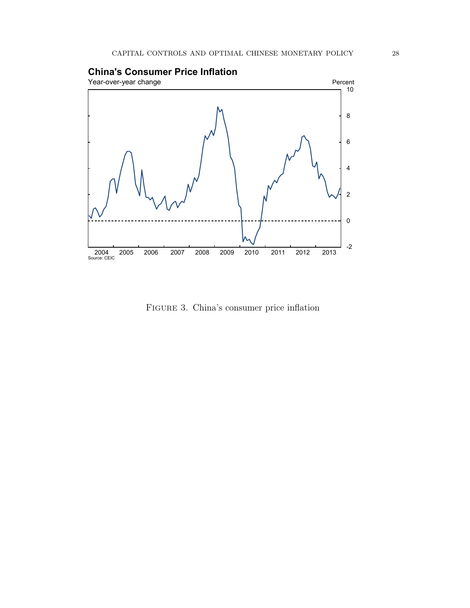

Figure 3. China's consumer price inflation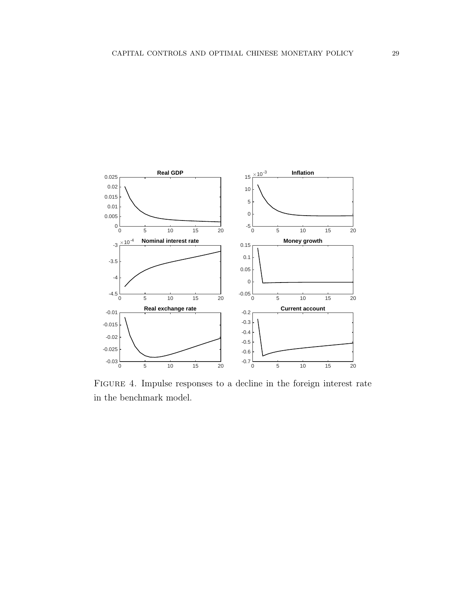

FIGURE 4. Impulse responses to a decline in the foreign interest rate in the benchmark model.